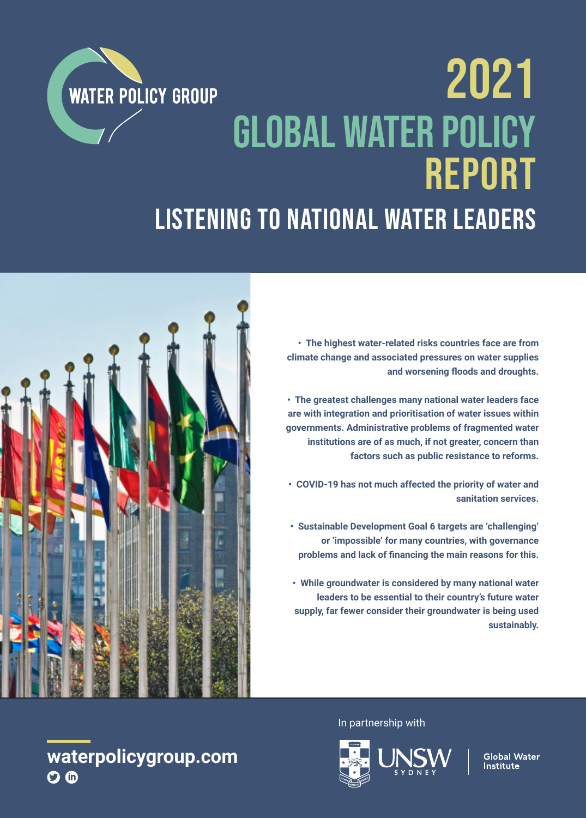# 2021 **WATER POLICY GROUP** Global Water Policy Report Listening to national water leaders

**• The highest water-related risks countries face are from climate change and associated pressures on water supplies and worsening floods and droughts.**

**• The greatest challenges many national water leaders face are with integration and prioritisation of water issues within governments. Administrative problems of fragmented water institutions are of as much, if not greater, concern than factors such as public resistance to reforms.** 

**• COVID-19 has not much affected the priority of water and sanitation services.**

**• Sustainable Development Goal 6 targets are 'challenging' or 'impossible' for many countries, with governance problems and lack of financing the main reasons for this.**

**• While groundwater is considered by many national water leaders to be essential to their country's future water supply, far fewer consider their groundwater is being used sustainably.**







**Global Water Institute** 

# **waterpolicygroup.com**  $\Omega$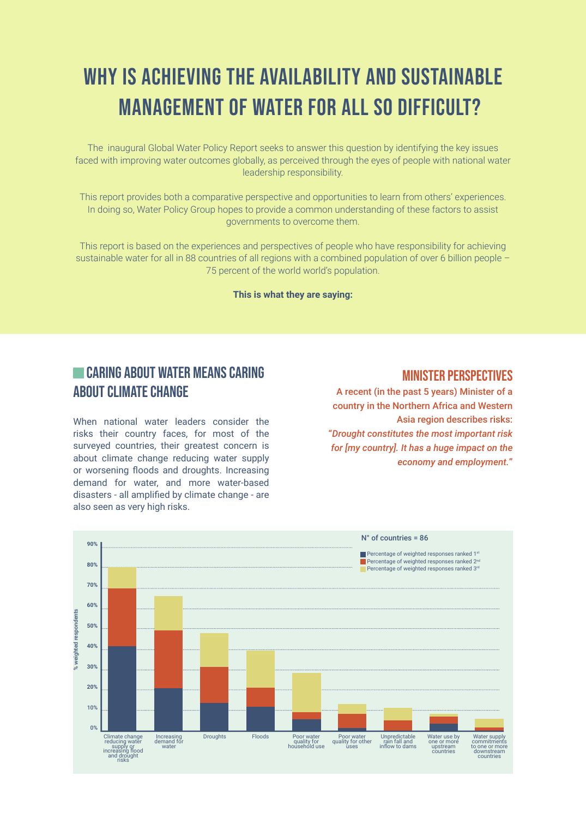# WHY IS ACHIEVING THE AVAILABILITY AND SUSTAINABLE MANAGEMENT OF WATER FOR ALL SO DIFFICULT?

The inaugural Global Water Policy Report seeks to answer this question by identifying the key issues faced with improving water outcomes globally, as perceived through the eyes of people with national water leadership responsibility.

This report provides both a comparative perspective and opportunities to learn from others' experiences. In doing so, Water Policy Group hopes to provide a common understanding of these factors to assist governments to overcome them.

This report is based on the experiences and perspectives of people who have responsibility for achieving sustainable water for all in 88 countries of all regions with a combined population of over 6 billion people -75 percent of the world world's population.

**This is what they are saying:**

### **CARING ABOUT WATER MEANS CARING** ABOUT CLIMATE CHANGE

When national water leaders consider the risks their country faces, for most of the surveyed countries, their greatest concern is about climate change reducing water supply or worsening floods and droughts. Increasing demand for water, and more water-based disasters - all amplified by climate change - are also seen as very high risks.

#### Minister perspectives

A recent (in the past 5 years) Minister of a country in the Northern Africa and Western Asia region describes risks: "*Drought constitutes the most important risk for [my country]. It has a huge impact on the economy and employment.*"

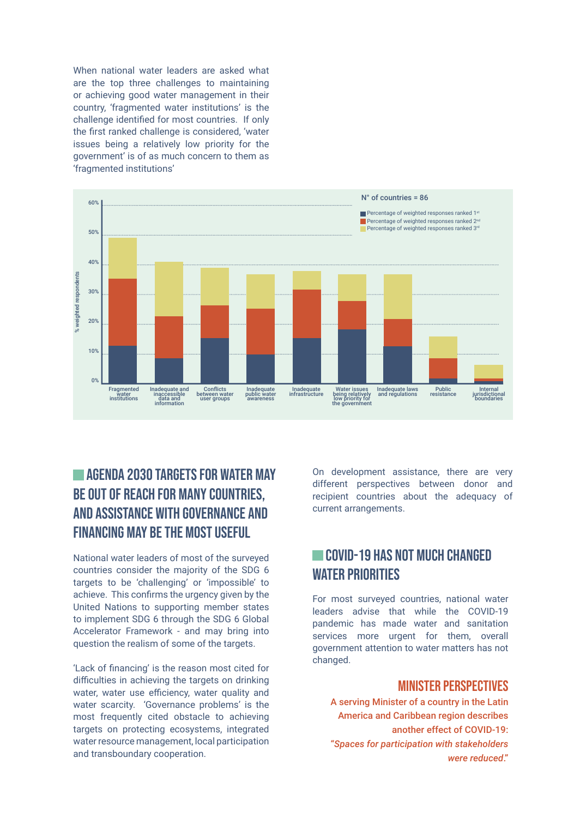When national water leaders are asked what are the top three challenges to maintaining or achieving good water management in their country, 'fragmented water institutions' is the challenge identified for most countries. If only the first ranked challenge is considered, 'water issues being a relatively low priority for the government' is of as much concern to them as 'fragmented institutions'



# **AGENDA 2030 TARGETS FOR WATER MAY** be out of reach for many countries, and assistance with governance and financing may be the most useful

National water leaders of most of the surveyed countries consider the majority of the SDG 6 targets to be 'challenging' or 'impossible' to achieve. This confirms the urgency given by the United Nations to supporting member states to implement SDG 6 through the SDG 6 Global Accelerator Framework - and may bring into question the realism of some of the targets.

'Lack of financing' is the reason most cited for difficulties in achieving the targets on drinking water, water use efficiency, water quality and water scarcity. 'Governance problems' is the most frequently cited obstacle to achieving targets on protecting ecosystems, integrated water resource management, local participation and transboundary cooperation.

On development assistance, there are very different perspectives between donor and recipient countries about the adequacy of current arrangements.

# Covid-19 has not much changed WATER PRIORITIES

For most surveyed countries, national water leaders advise that while the COVID-19 pandemic has made water and sanitation services more urgent for them, overall government attention to water matters has not changed.

#### Minister perspectives

A serving Minister of a country in the Latin America and Caribbean region describes another effect of COVID-19: "*Spaces for participation with stakeholders were reduced*."